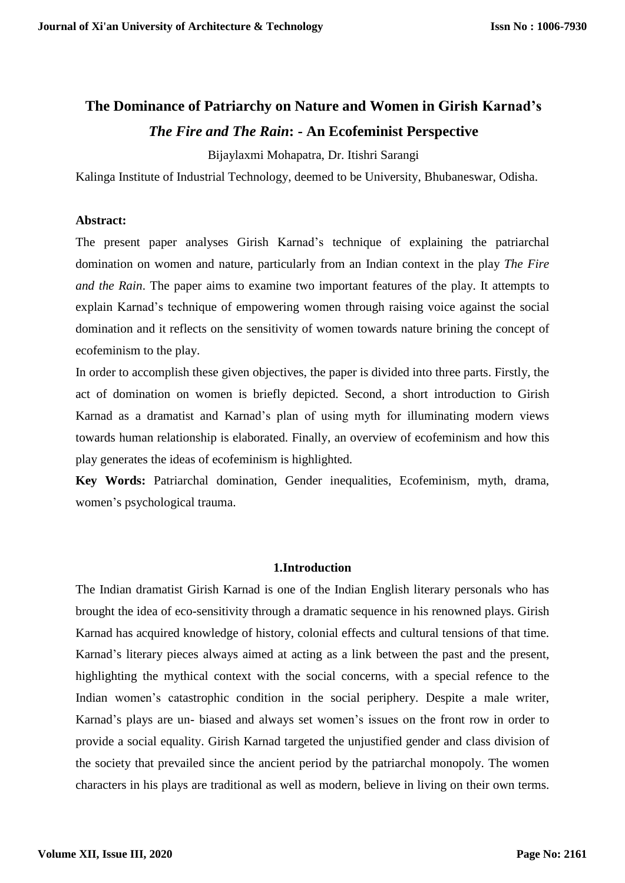# **The Dominance of Patriarchy on Nature and Women in Girish Karnad's**  *The Fire and The Rain***: - An Ecofeminist Perspective**

Bijaylaxmi Mohapatra, Dr. Itishri Sarangi

Kalinga Institute of Industrial Technology, deemed to be University, Bhubaneswar, Odisha.

### **Abstract:**

The present paper analyses Girish Karnad's technique of explaining the patriarchal domination on women and nature, particularly from an Indian context in the play *The Fire and the Rain*. The paper aims to examine two important features of the play. It attempts to explain Karnad's technique of empowering women through raising voice against the social domination and it reflects on the sensitivity of women towards nature brining the concept of ecofeminism to the play.

In order to accomplish these given objectives, the paper is divided into three parts. Firstly, the act of domination on women is briefly depicted. Second, a short introduction to Girish Karnad as a dramatist and Karnad's plan of using myth for illuminating modern views towards human relationship is elaborated. Finally, an overview of ecofeminism and how this play generates the ideas of ecofeminism is highlighted.

**Key Words:** Patriarchal domination, Gender inequalities, Ecofeminism, myth, drama, women's psychological trauma.

## **1.Introduction**

The Indian dramatist Girish Karnad is one of the Indian English literary personals who has brought the idea of eco-sensitivity through a dramatic sequence in his renowned plays. Girish Karnad has acquired knowledge of history, colonial effects and cultural tensions of that time. Karnad's literary pieces always aimed at acting as a link between the past and the present, highlighting the mythical context with the social concerns, with a special refence to the Indian women's catastrophic condition in the social periphery. Despite a male writer, Karnad's plays are un- biased and always set women's issues on the front row in order to provide a social equality. Girish Karnad targeted the unjustified gender and class division of the society that prevailed since the ancient period by the patriarchal monopoly. The women characters in his plays are traditional as well as modern, believe in living on their own terms.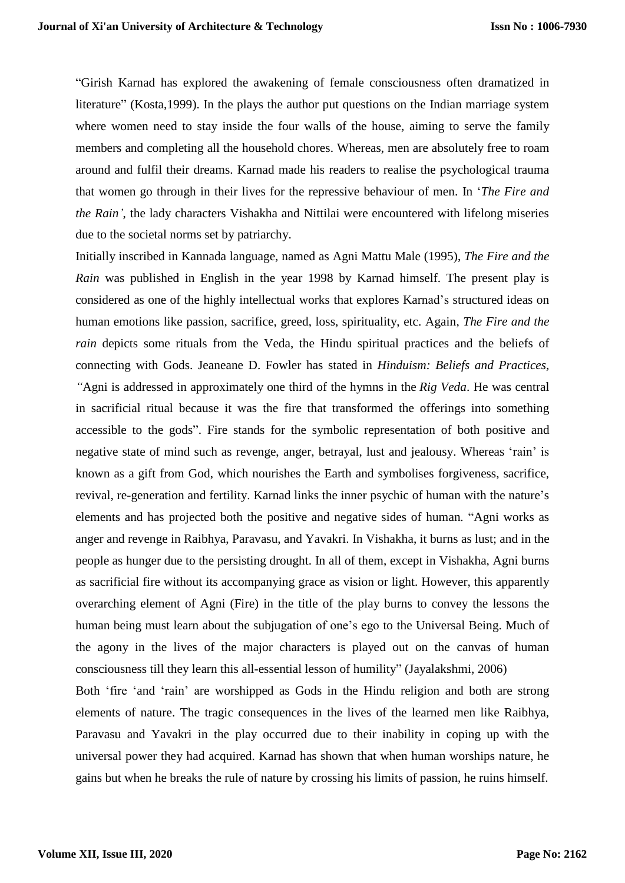"Girish Karnad has explored the awakening of female consciousness often dramatized in literature" (Kosta,1999). In the plays the author put questions on the Indian marriage system where women need to stay inside the four walls of the house, aiming to serve the family members and completing all the household chores. Whereas, men are absolutely free to roam around and fulfil their dreams. Karnad made his readers to realise the psychological trauma that women go through in their lives for the repressive behaviour of men. In '*The Fire and the Rain'*, the lady characters Vishakha and Nittilai were encountered with lifelong miseries due to the societal norms set by patriarchy.

Initially inscribed in Kannada language, named as Agni Mattu Male (1995), *The Fire and the Rain* was published in English in the year 1998 by Karnad himself. The present play is considered as one of the highly intellectual works that explores Karnad's structured ideas on human emotions like passion, sacrifice, greed, loss, spirituality, etc. Again, *The Fire and the rain* depicts some rituals from the Veda, the Hindu spiritual practices and the beliefs of connecting with Gods. Jeaneane D. Fowler has stated in *Hinduism: Beliefs and Practices, "*Agni is addressed in approximately one third of the hymns in the *Rig Veda*. He was central in sacrificial ritual because it was the fire that transformed the offerings into something accessible to the gods". Fire stands for the symbolic representation of both positive and negative state of mind such as revenge, anger, betrayal, lust and jealousy. Whereas 'rain' is known as a gift from God, which nourishes the Earth and symbolises forgiveness, sacrifice, revival, re-generation and fertility. Karnad links the inner psychic of human with the nature's elements and has projected both the positive and negative sides of human*.* "Agni works as anger and revenge in Raibhya, Paravasu, and Yavakri. In Vishakha, it burns as lust; and in the people as hunger due to the persisting drought. In all of them, except in Vishakha, Agni burns as sacrificial fire without its accompanying grace as vision or light. However, this apparently overarching element of Agni (Fire) in the title of the play burns to convey the lessons the human being must learn about the subjugation of one's ego to the Universal Being. Much of the agony in the lives of the major characters is played out on the canvas of human consciousness till they learn this all-essential lesson of humility" (Jayalakshmi, 2006)

Both 'fire 'and 'rain' are worshipped as Gods in the Hindu religion and both are strong elements of nature. The tragic consequences in the lives of the learned men like Raibhya, Paravasu and Yavakri in the play occurred due to their inability in coping up with the universal power they had acquired. Karnad has shown that when human worships nature, he gains but when he breaks the rule of nature by crossing his limits of passion, he ruins himself.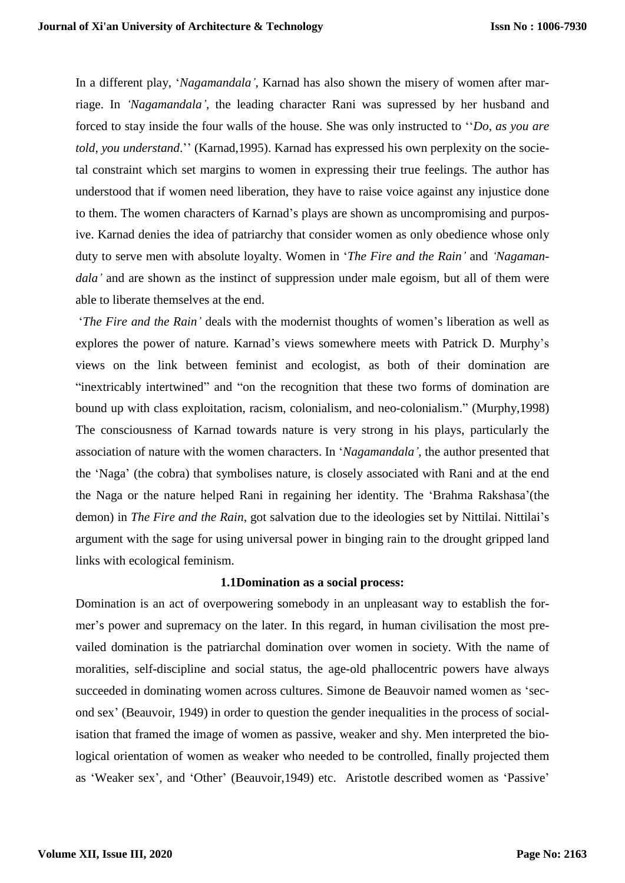In a different play, '*Nagamandala'*, Karnad has also shown the misery of women after marriage. In *'Nagamandala'*, the leading character Rani was supressed by her husband and forced to stay inside the four walls of the house. She was only instructed to ''*Do, as you are told, you understand*.'' (Karnad,1995). Karnad has expressed his own perplexity on the societal constraint which set margins to women in expressing their true feelings. The author has understood that if women need liberation, they have to raise voice against any injustice done to them. The women characters of Karnad's plays are shown as uncompromising and purposive. Karnad denies the idea of patriarchy that consider women as only obedience whose only duty to serve men with absolute loyalty. Women in '*The Fire and the Rain'* and *'Nagamandala*' and are shown as the instinct of suppression under male egoism, but all of them were able to liberate themselves at the end.

'*The Fire and the Rain'* deals with the modernist thoughts of women's liberation as well as explores the power of nature. Karnad's views somewhere meets with Patrick D. Murphy's views on the link between feminist and ecologist, as both of their domination are "inextricably intertwined" and "on the recognition that these two forms of domination are bound up with class exploitation, racism, colonialism, and neo-colonialism." (Murphy,1998) The consciousness of Karnad towards nature is very strong in his plays, particularly the association of nature with the women characters. In '*Nagamandala'*, the author presented that the 'Naga' (the cobra) that symbolises nature, is closely associated with Rani and at the end the Naga or the nature helped Rani in regaining her identity. The 'Brahma Rakshasa'(the demon) in *The Fire and the Rain,* got salvation due to the ideologies set by Nittilai. Nittilai's argument with the sage for using universal power in binging rain to the drought gripped land links with ecological feminism.

## **1.1Domination as a social process:**

Domination is an act of overpowering somebody in an unpleasant way to establish the former's power and supremacy on the later. In this regard, in human civilisation the most prevailed domination is the patriarchal domination over women in society. With the name of moralities, self-discipline and social status, the age-old phallocentric powers have always succeeded in dominating women across cultures. Simone de Beauvoir named women as 'second sex' (Beauvoir, 1949) in order to question the gender inequalities in the process of socialisation that framed the image of women as passive, weaker and shy. Men interpreted the biological orientation of women as weaker who needed to be controlled, finally projected them as 'Weaker sex', and 'Other' (Beauvoir,1949) etc. Aristotle described women as 'Passive'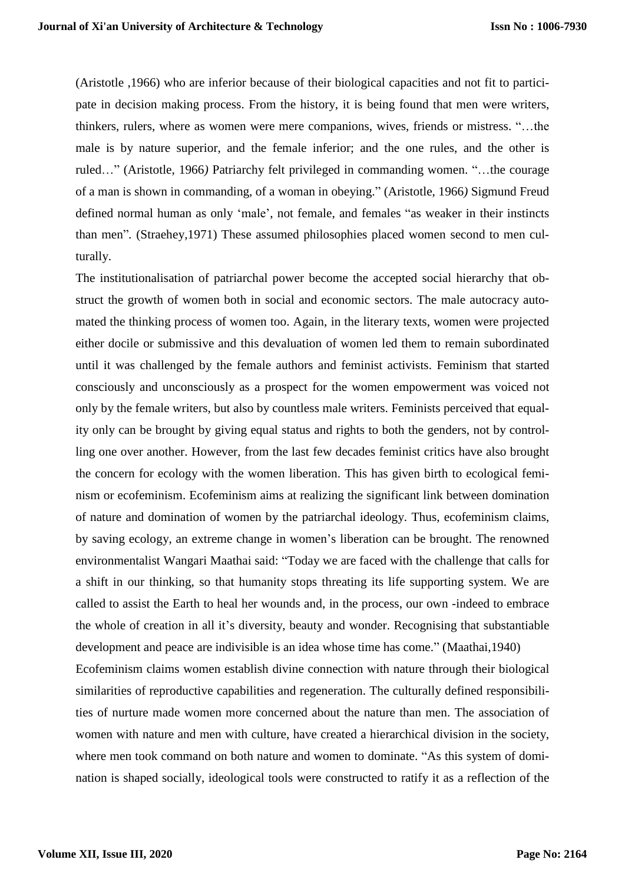(Aristotle ,1966) who are inferior because of their biological capacities and not fit to participate in decision making process. From the history, it is being found that men were writers, thinkers, rulers, where as women were mere companions, wives, friends or mistress. "…the male is by nature superior, and the female inferior; and the one rules, and the other is ruled…" (Aristotle, 1966*)* Patriarchy felt privileged in commanding women. "…the courage of a man is shown in commanding, of a woman in obeying." (Aristotle, 1966*)* Sigmund Freud defined normal human as only 'male', not female, and females "as weaker in their instincts than men"*.* (Straehey,1971) These assumed philosophies placed women second to men culturally.

The institutionalisation of patriarchal power become the accepted social hierarchy that obstruct the growth of women both in social and economic sectors. The male autocracy automated the thinking process of women too. Again, in the literary texts, women were projected either docile or submissive and this devaluation of women led them to remain subordinated until it was challenged by the female authors and feminist activists. Feminism that started consciously and unconsciously as a prospect for the women empowerment was voiced not only by the female writers, but also by countless male writers. Feminists perceived that equality only can be brought by giving equal status and rights to both the genders, not by controlling one over another. However, from the last few decades feminist critics have also brought the concern for ecology with the women liberation. This has given birth to ecological feminism or ecofeminism. Ecofeminism aims at realizing the significant link between domination of nature and domination of women by the patriarchal ideology. Thus, ecofeminism claims, by saving ecology, an extreme change in women's liberation can be brought. The renowned environmentalist Wangari Maathai said: "Today we are faced with the challenge that calls for a shift in our thinking, so that humanity stops threating its life supporting system. We are called to assist the Earth to heal her wounds and, in the process, our own -indeed to embrace the whole of creation in all it's diversity, beauty and wonder. Recognising that substantiable development and peace are indivisible is an idea whose time has come." (Maathai,1940) Ecofeminism claims women establish divine connection with nature through their biological similarities of reproductive capabilities and regeneration. The culturally defined responsibilities of nurture made women more concerned about the nature than men. The association of women with nature and men with culture, have created a hierarchical division in the society, where men took command on both nature and women to dominate. "As this system of domination is shaped socially, ideological tools were constructed to ratify it as a reflection of the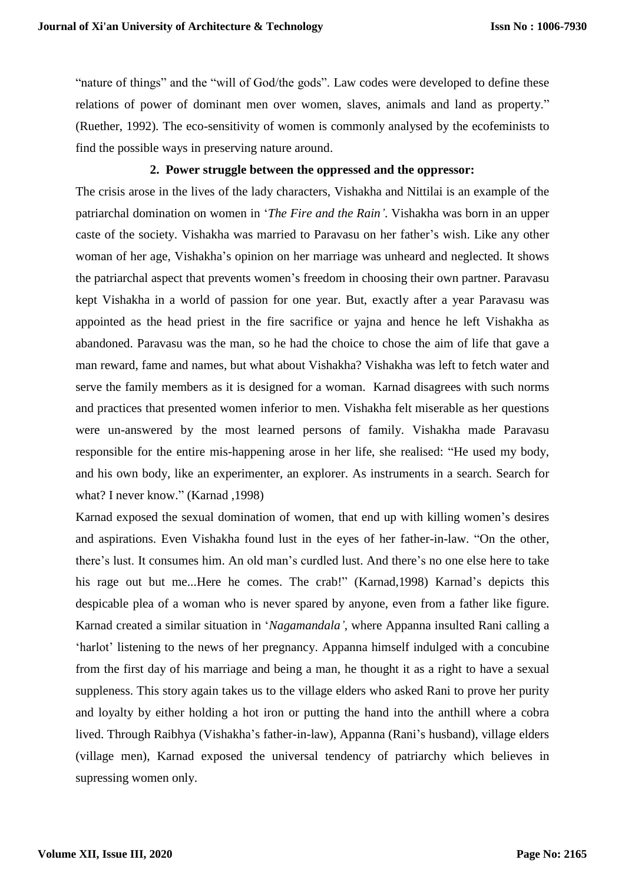"nature of things" and the "will of God/the gods". Law codes were developed to define these relations of power of dominant men over women, slaves, animals and land as property." (Ruether, 1992)*.* The eco-sensitivity of women is commonly analysed by the ecofeminists to find the possible ways in preserving nature around.

### **2. Power struggle between the oppressed and the oppressor:**

The crisis arose in the lives of the lady characters, Vishakha and Nittilai is an example of the patriarchal domination on women in '*The Fire and the Rain'*. Vishakha was born in an upper caste of the society. Vishakha was married to Paravasu on her father's wish. Like any other woman of her age, Vishakha's opinion on her marriage was unheard and neglected. It shows the patriarchal aspect that prevents women's freedom in choosing their own partner. Paravasu kept Vishakha in a world of passion for one year. But, exactly after a year Paravasu was appointed as the head priest in the fire sacrifice or yajna and hence he left Vishakha as abandoned. Paravasu was the man, so he had the choice to chose the aim of life that gave a man reward, fame and names, but what about Vishakha? Vishakha was left to fetch water and serve the family members as it is designed for a woman. Karnad disagrees with such norms and practices that presented women inferior to men. Vishakha felt miserable as her questions were un-answered by the most learned persons of family. Vishakha made Paravasu responsible for the entire mis-happening arose in her life, she realised: "He used my body, and his own body, like an experimenter, an explorer. As instruments in a search. Search for what? I never know." (Karnad ,1998)

Karnad exposed the sexual domination of women, that end up with killing women's desires and aspirations. Even Vishakha found lust in the eyes of her father-in-law. "On the other, there's lust. It consumes him. An old man's curdled lust. And there's no one else here to take his rage out but me...Here he comes. The crab!" (Karnad,1998) Karnad's depicts this despicable plea of a woman who is never spared by anyone, even from a father like figure. Karnad created a similar situation in '*Nagamandala'*, where Appanna insulted Rani calling a 'harlot' listening to the news of her pregnancy. Appanna himself indulged with a concubine from the first day of his marriage and being a man, he thought it as a right to have a sexual suppleness. This story again takes us to the village elders who asked Rani to prove her purity and loyalty by either holding a hot iron or putting the hand into the anthill where a cobra lived. Through Raibhya (Vishakha's father-in-law), Appanna (Rani's husband), village elders (village men), Karnad exposed the universal tendency of patriarchy which believes in supressing women only.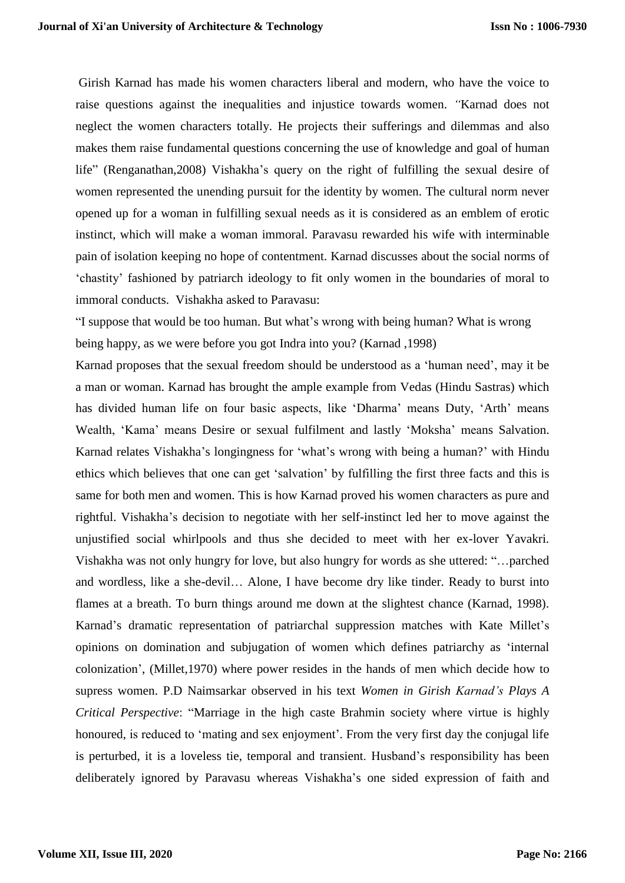Girish Karnad has made his women characters liberal and modern, who have the voice to raise questions against the inequalities and injustice towards women. *"*Karnad does not neglect the women characters totally. He projects their sufferings and dilemmas and also makes them raise fundamental questions concerning the use of knowledge and goal of human life" (Renganathan,2008) Vishakha's query on the right of fulfilling the sexual desire of women represented the unending pursuit for the identity by women. The cultural norm never opened up for a woman in fulfilling sexual needs as it is considered as an emblem of erotic instinct, which will make a woman immoral. Paravasu rewarded his wife with interminable pain of isolation keeping no hope of contentment. Karnad discusses about the social norms of 'chastity' fashioned by patriarch ideology to fit only women in the boundaries of moral to immoral conducts. Vishakha asked to Paravasu:

"I suppose that would be too human. But what's wrong with being human? What is wrong being happy, as we were before you got Indra into you? (Karnad ,1998)

Karnad proposes that the sexual freedom should be understood as a 'human need', may it be a man or woman. Karnad has brought the ample example from Vedas (Hindu Sastras) which has divided human life on four basic aspects, like 'Dharma' means Duty, 'Arth' means Wealth, 'Kama' means Desire or sexual fulfilment and lastly 'Moksha' means Salvation. Karnad relates Vishakha's longingness for 'what's wrong with being a human?' with Hindu ethics which believes that one can get 'salvation' by fulfilling the first three facts and this is same for both men and women. This is how Karnad proved his women characters as pure and rightful. Vishakha's decision to negotiate with her self-instinct led her to move against the unjustified social whirlpools and thus she decided to meet with her ex-lover Yavakri. Vishakha was not only hungry for love, but also hungry for words as she uttered: "…parched and wordless, like a she-devil… Alone, I have become dry like tinder. Ready to burst into flames at a breath. To burn things around me down at the slightest chance (Karnad, 1998). Karnad's dramatic representation of patriarchal suppression matches with Kate Millet's opinions on domination and subjugation of women which defines patriarchy as 'internal colonization', (Millet,1970) where power resides in the hands of men which decide how to supress women. P.D Naimsarkar observed in his text *Women in Girish Karnad's Plays A Critical Perspective*: "Marriage in the high caste Brahmin society where virtue is highly honoured, is reduced to 'mating and sex enjoyment'. From the very first day the conjugal life is perturbed, it is a loveless tie, temporal and transient. Husband's responsibility has been deliberately ignored by Paravasu whereas Vishakha's one sided expression of faith and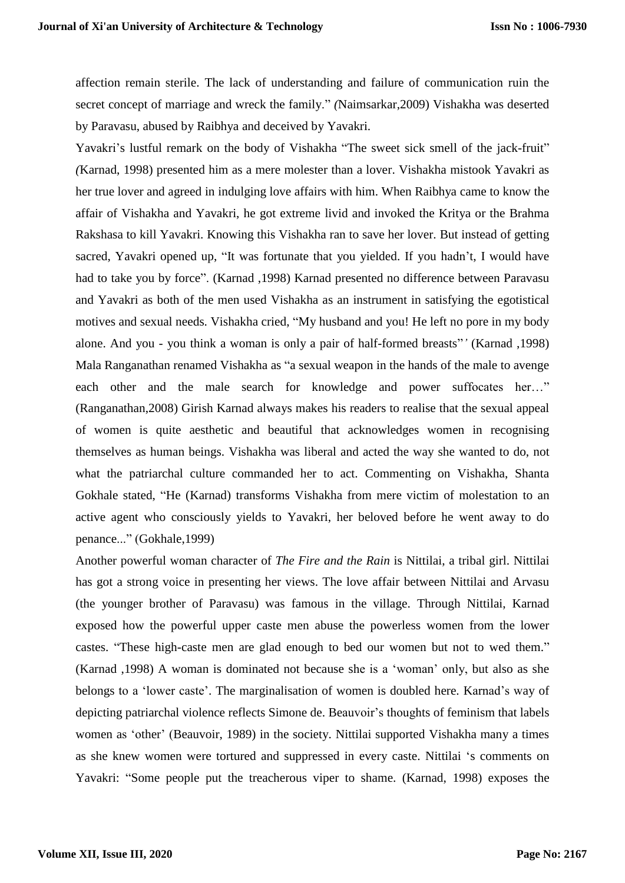affection remain sterile. The lack of understanding and failure of communication ruin the secret concept of marriage and wreck the family." *(*Naimsarkar,2009) Vishakha was deserted by Paravasu, abused by Raibhya and deceived by Yavakri.

Yavakri's lustful remark on the body of Vishakha "The sweet sick smell of the jack-fruit" *(*Karnad, 1998) presented him as a mere molester than a lover. Vishakha mistook Yavakri as her true lover and agreed in indulging love affairs with him. When Raibhya came to know the affair of Vishakha and Yavakri, he got extreme livid and invoked the Kritya or the Brahma Rakshasa to kill Yavakri. Knowing this Vishakha ran to save her lover. But instead of getting sacred, Yavakri opened up, "It was fortunate that you yielded. If you hadn't, I would have had to take you by force". (Karnad ,1998) Karnad presented no difference between Paravasu and Yavakri as both of the men used Vishakha as an instrument in satisfying the egotistical motives and sexual needs. Vishakha cried, "My husband and you! He left no pore in my body alone. And you - you think a woman is only a pair of half-formed breasts"*'* (Karnad ,1998) Mala Ranganathan renamed Vishakha as "a sexual weapon in the hands of the male to avenge each other and the male search for knowledge and power suffocates her…" (Ranganathan,2008) Girish Karnad always makes his readers to realise that the sexual appeal of women is quite aesthetic and beautiful that acknowledges women in recognising themselves as human beings. Vishakha was liberal and acted the way she wanted to do, not what the patriarchal culture commanded her to act. Commenting on Vishakha, Shanta Gokhale stated, "He (Karnad) transforms Vishakha from mere victim of molestation to an active agent who consciously yields to Yavakri, her beloved before he went away to do penance..." (Gokhale,1999)

Another powerful woman character of *The Fire and the Rain* is Nittilai, a tribal girl. Nittilai has got a strong voice in presenting her views. The love affair between Nittilai and Arvasu (the younger brother of Paravasu) was famous in the village. Through Nittilai, Karnad exposed how the powerful upper caste men abuse the powerless women from the lower castes. "These high-caste men are glad enough to bed our women but not to wed them." (Karnad ,1998) A woman is dominated not because she is a 'woman' only, but also as she belongs to a 'lower caste'. The marginalisation of women is doubled here. Karnad's way of depicting patriarchal violence reflects Simone de. Beauvoir's thoughts of feminism that labels women as 'other' (Beauvoir, 1989) in the society. Nittilai supported Vishakha many a times as she knew women were tortured and suppressed in every caste. Nittilai 's comments on Yavakri: "Some people put the treacherous viper to shame. (Karnad, 1998) exposes the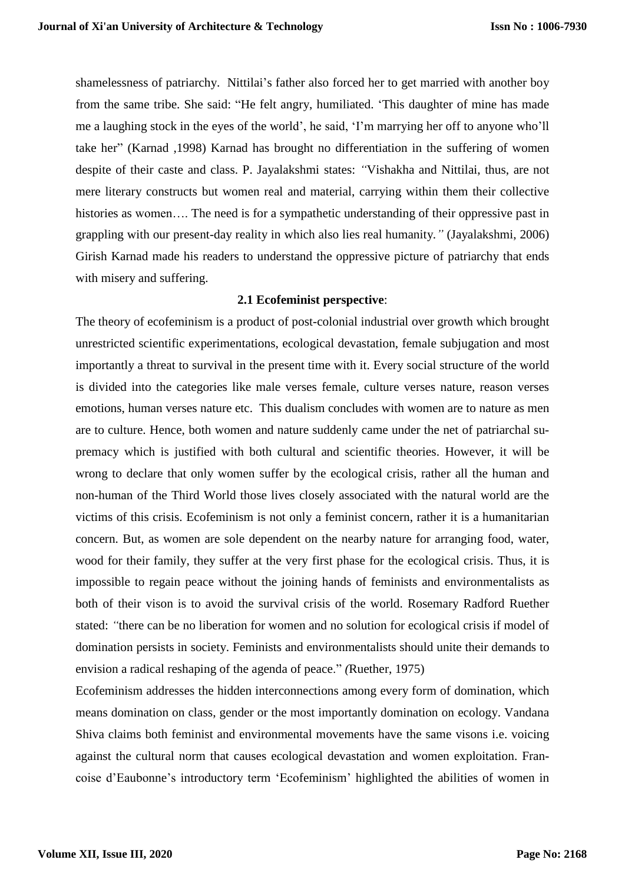shamelessness of patriarchy. Nittilai's father also forced her to get married with another boy from the same tribe. She said: "He felt angry, humiliated. 'This daughter of mine has made me a laughing stock in the eyes of the world', he said, 'I'm marrying her off to anyone who'll take her" (Karnad ,1998) Karnad has brought no differentiation in the suffering of women despite of their caste and class. P. Jayalakshmi states: *"*Vishakha and Nittilai, thus, are not mere literary constructs but women real and material, carrying within them their collective histories as women.... The need is for a sympathetic understanding of their oppressive past in grappling with our present-day reality in which also lies real humanity*."* (Jayalakshmi, 2006) Girish Karnad made his readers to understand the oppressive picture of patriarchy that ends with misery and suffering.

## **2.1 Ecofeminist perspective**:

The theory of ecofeminism is a product of post-colonial industrial over growth which brought unrestricted scientific experimentations, ecological devastation, female subjugation and most importantly a threat to survival in the present time with it. Every social structure of the world is divided into the categories like male verses female, culture verses nature, reason verses emotions, human verses nature etc. This dualism concludes with women are to nature as men are to culture. Hence, both women and nature suddenly came under the net of patriarchal supremacy which is justified with both cultural and scientific theories. However, it will be wrong to declare that only women suffer by the ecological crisis, rather all the human and non-human of the Third World those lives closely associated with the natural world are the victims of this crisis. Ecofeminism is not only a feminist concern, rather it is a humanitarian concern. But, as women are sole dependent on the nearby nature for arranging food, water, wood for their family, they suffer at the very first phase for the ecological crisis. Thus, it is impossible to regain peace without the joining hands of feminists and environmentalists as both of their vison is to avoid the survival crisis of the world. Rosemary Radford Ruether stated: *"*there can be no liberation for women and no solution for ecological crisis if model of domination persists in society. Feminists and environmentalists should unite their demands to envision a radical reshaping of the agenda of peace." *(*Ruether, 1975)

Ecofeminism addresses the hidden interconnections among every form of domination, which means domination on class, gender or the most importantly domination on ecology. Vandana Shiva claims both feminist and environmental movements have the same visons i.e. voicing against the cultural norm that causes ecological devastation and women exploitation. Francoise d'Eaubonne's introductory term 'Ecofeminism' highlighted the abilities of women in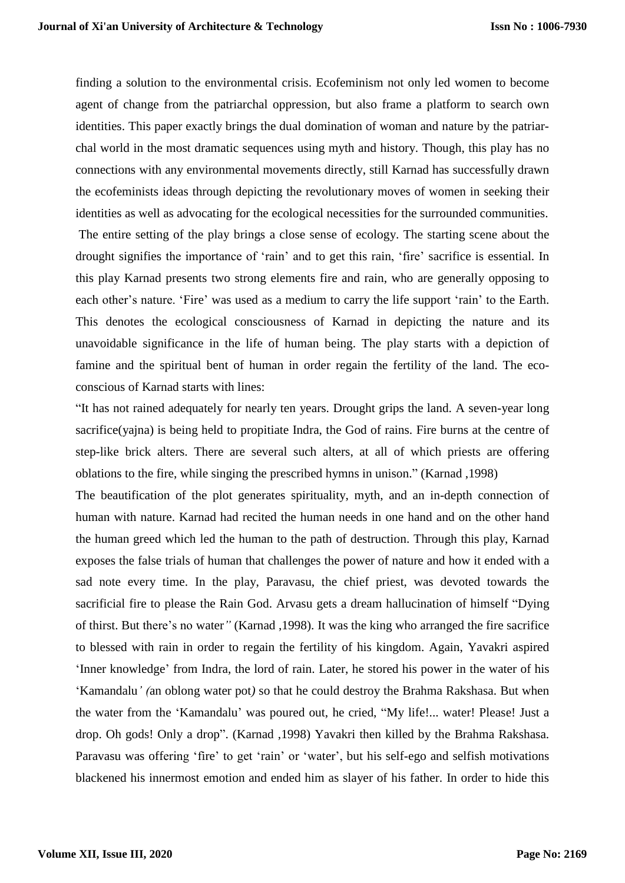finding a solution to the environmental crisis. Ecofeminism not only led women to become agent of change from the patriarchal oppression, but also frame a platform to search own identities. This paper exactly brings the dual domination of woman and nature by the patriarchal world in the most dramatic sequences using myth and history. Though, this play has no connections with any environmental movements directly, still Karnad has successfully drawn the ecofeminists ideas through depicting the revolutionary moves of women in seeking their identities as well as advocating for the ecological necessities for the surrounded communities. The entire setting of the play brings a close sense of ecology. The starting scene about the drought signifies the importance of 'rain' and to get this rain, 'fire' sacrifice is essential. In this play Karnad presents two strong elements fire and rain, who are generally opposing to each other's nature. 'Fire' was used as a medium to carry the life support 'rain' to the Earth. This denotes the ecological consciousness of Karnad in depicting the nature and its unavoidable significance in the life of human being. The play starts with a depiction of famine and the spiritual bent of human in order regain the fertility of the land. The ecoconscious of Karnad starts with lines:

"It has not rained adequately for nearly ten years. Drought grips the land. A seven-year long sacrifice(yajna) is being held to propitiate Indra, the God of rains. Fire burns at the centre of step-like brick alters. There are several such alters, at all of which priests are offering oblations to the fire, while singing the prescribed hymns in unison." (Karnad ,1998)

The beautification of the plot generates spirituality, myth, and an in-depth connection of human with nature. Karnad had recited the human needs in one hand and on the other hand the human greed which led the human to the path of destruction. Through this play, Karnad exposes the false trials of human that challenges the power of nature and how it ended with a sad note every time. In the play, Paravasu, the chief priest, was devoted towards the sacrificial fire to please the Rain God. Arvasu gets a dream hallucination of himself "Dying of thirst. But there's no water*"* (Karnad ,1998). It was the king who arranged the fire sacrifice to blessed with rain in order to regain the fertility of his kingdom. Again, Yavakri aspired 'Inner knowledge' from Indra, the lord of rain. Later, he stored his power in the water of his 'Kamandalu*' (*an oblong water pot*)* so that he could destroy the Brahma Rakshasa. But when the water from the 'Kamandalu' was poured out, he cried, "My life!... water! Please! Just a drop. Oh gods! Only a drop". (Karnad ,1998) Yavakri then killed by the Brahma Rakshasa. Paravasu was offering 'fire' to get 'rain' or 'water', but his self-ego and selfish motivations blackened his innermost emotion and ended him as slayer of his father. In order to hide this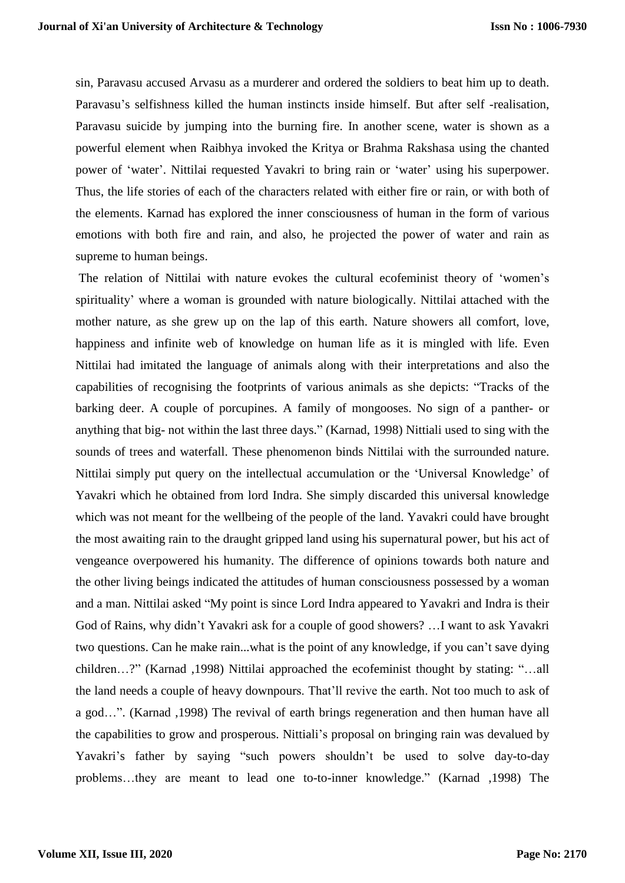sin, Paravasu accused Arvasu as a murderer and ordered the soldiers to beat him up to death. Paravasu's selfishness killed the human instincts inside himself. But after self -realisation, Paravasu suicide by jumping into the burning fire. In another scene, water is shown as a powerful element when Raibhya invoked the Kritya or Brahma Rakshasa using the chanted power of 'water'. Nittilai requested Yavakri to bring rain or 'water' using his superpower. Thus, the life stories of each of the characters related with either fire or rain, or with both of the elements. Karnad has explored the inner consciousness of human in the form of various emotions with both fire and rain, and also, he projected the power of water and rain as supreme to human beings.

The relation of Nittilai with nature evokes the cultural ecofeminist theory of 'women's spirituality' where a woman is grounded with nature biologically. Nittilai attached with the mother nature, as she grew up on the lap of this earth. Nature showers all comfort, love, happiness and infinite web of knowledge on human life as it is mingled with life. Even Nittilai had imitated the language of animals along with their interpretations and also the capabilities of recognising the footprints of various animals as she depicts: "Tracks of the barking deer. A couple of porcupines. A family of mongooses. No sign of a panther- or anything that big- not within the last three days." (Karnad, 1998) Nittiali used to sing with the sounds of trees and waterfall. These phenomenon binds Nittilai with the surrounded nature. Nittilai simply put query on the intellectual accumulation or the 'Universal Knowledge' of Yavakri which he obtained from lord Indra. She simply discarded this universal knowledge which was not meant for the wellbeing of the people of the land. Yavakri could have brought the most awaiting rain to the draught gripped land using his supernatural power, but his act of vengeance overpowered his humanity. The difference of opinions towards both nature and the other living beings indicated the attitudes of human consciousness possessed by a woman and a man. Nittilai asked "My point is since Lord Indra appeared to Yavakri and Indra is their God of Rains, why didn't Yavakri ask for a couple of good showers? …I want to ask Yavakri two questions. Can he make rain...what is the point of any knowledge, if you can't save dying children…?" (Karnad ,1998) Nittilai approached the ecofeminist thought by stating: "…all the land needs a couple of heavy downpours. That'll revive the earth. Not too much to ask of a god…". (Karnad ,1998) The revival of earth brings regeneration and then human have all the capabilities to grow and prosperous. Nittiali's proposal on bringing rain was devalued by Yavakri's father by saying "such powers shouldn't be used to solve day-to-day problems…they are meant to lead one to-to-inner knowledge." (Karnad ,1998) The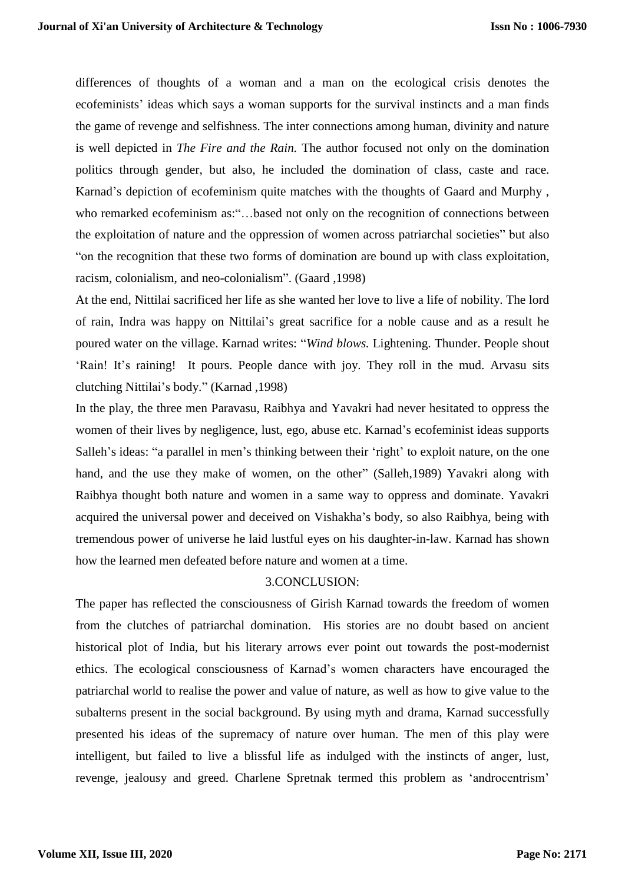differences of thoughts of a woman and a man on the ecological crisis denotes the ecofeminists' ideas which says a woman supports for the survival instincts and a man finds the game of revenge and selfishness. The inter connections among human, divinity and nature is well depicted in *The Fire and the Rain.* The author focused not only on the domination politics through gender, but also, he included the domination of class, caste and race. Karnad's depiction of ecofeminism quite matches with the thoughts of Gaard and Murphy , who remarked ecofeminism as:"...based not only on the recognition of connections between the exploitation of nature and the oppression of women across patriarchal societies" but also "on the recognition that these two forms of domination are bound up with class exploitation, racism, colonialism, and neo-colonialism". (Gaard ,1998)

At the end, Nittilai sacrificed her life as she wanted her love to live a life of nobility. The lord of rain, Indra was happy on Nittilai's great sacrifice for a noble cause and as a result he poured water on the village. Karnad writes: "*Wind blows.* Lightening. Thunder. People shout 'Rain! It's raining! It pours. People dance with joy. They roll in the mud. Arvasu sits clutching Nittilai's body." (Karnad ,1998)

In the play, the three men Paravasu, Raibhya and Yavakri had never hesitated to oppress the women of their lives by negligence, lust, ego, abuse etc. Karnad's ecofeminist ideas supports Salleh's ideas: "a parallel in men's thinking between their 'right' to exploit nature, on the one hand, and the use they make of women, on the other" (Salleh,1989) Yavakri along with Raibhya thought both nature and women in a same way to oppress and dominate. Yavakri acquired the universal power and deceived on Vishakha's body, so also Raibhya, being with tremendous power of universe he laid lustful eyes on his daughter-in-law. Karnad has shown how the learned men defeated before nature and women at a time.

## 3.CONCLUSION:

The paper has reflected the consciousness of Girish Karnad towards the freedom of women from the clutches of patriarchal domination. His stories are no doubt based on ancient historical plot of India, but his literary arrows ever point out towards the post-modernist ethics. The ecological consciousness of Karnad's women characters have encouraged the patriarchal world to realise the power and value of nature, as well as how to give value to the subalterns present in the social background. By using myth and drama, Karnad successfully presented his ideas of the supremacy of nature over human. The men of this play were intelligent, but failed to live a blissful life as indulged with the instincts of anger, lust, revenge, jealousy and greed. Charlene Spretnak termed this problem as 'androcentrism'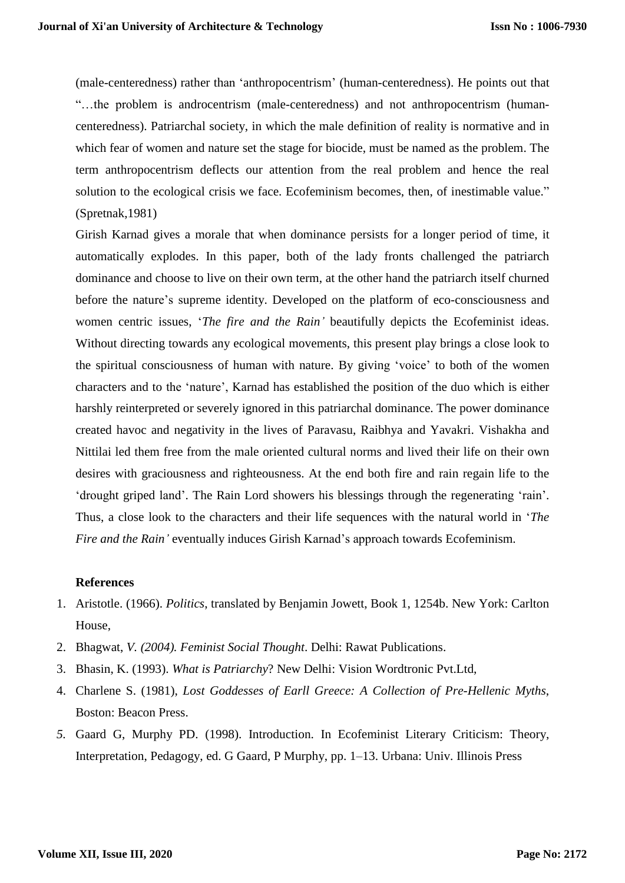(male-centeredness) rather than 'anthropocentrism' (human-centeredness). He points out that "…the problem is androcentrism (male-centeredness) and not anthropocentrism (humancenteredness). Patriarchal society, in which the male definition of reality is normative and in which fear of women and nature set the stage for biocide, must be named as the problem. The term anthropocentrism deflects our attention from the real problem and hence the real solution to the ecological crisis we face. Ecofeminism becomes, then, of inestimable value." (Spretnak,1981)

Girish Karnad gives a morale that when dominance persists for a longer period of time, it automatically explodes. In this paper, both of the lady fronts challenged the patriarch dominance and choose to live on their own term, at the other hand the patriarch itself churned before the nature's supreme identity. Developed on the platform of eco-consciousness and women centric issues, '*The fire and the Rain'* beautifully depicts the Ecofeminist ideas. Without directing towards any ecological movements, this present play brings a close look to the spiritual consciousness of human with nature. By giving 'voice' to both of the women characters and to the 'nature', Karnad has established the position of the duo which is either harshly reinterpreted or severely ignored in this patriarchal dominance. The power dominance created havoc and negativity in the lives of Paravasu, Raibhya and Yavakri. Vishakha and Nittilai led them free from the male oriented cultural norms and lived their life on their own desires with graciousness and righteousness. At the end both fire and rain regain life to the 'drought griped land'. The Rain Lord showers his blessings through the regenerating 'rain'. Thus, a close look to the characters and their life sequences with the natural world in '*The Fire and the Rain'* eventually induces Girish Karnad's approach towards Ecofeminism.

#### **References**

- 1. Aristotle. (1966). *Politics*, translated by Benjamin Jowett, Book 1, 1254b. New York: Carlton House,
- 2. Bhagwat, *V. (2004). Feminist Social Thought*. Delhi: Rawat Publications.
- 3. Bhasin, K. (1993). *What is Patriarchy*? New Delhi: Vision Wordtronic Pvt.Ltd,
- 4. Charlene S. (1981), *Lost Goddesses of Earll Greece: A Collection of Pre-Hellenic Myths*, Boston: Beacon Press.
- *5.* Gaard G, Murphy PD. (1998). Introduction. In Ecofeminist Literary Criticism: Theory, Interpretation, Pedagogy, ed. G Gaard, P Murphy, pp. 1–13. Urbana: Univ. Illinois Press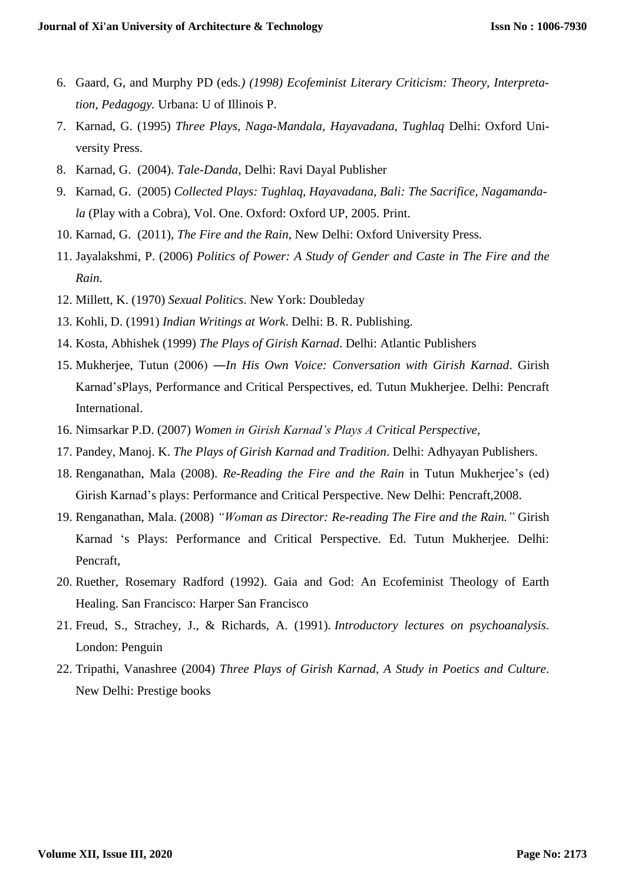- 6. Gaard, G, and Murphy PD (eds*.) (1998) Ecofeminist Literary Criticism: Theory, Interpretation, Pedagogy.* Urbana: U of Illinois P.
- 7. Karnad, G. (1995) *Three Plays, Naga-Mandala, Hayavadana, Tughlaq* Delhi: Oxford University Press.
- 8. Karnad, G. (2004). *Tale-Danda*, Delhi: Ravi Dayal Publisher
- 9. Karnad, G. (2005) *Collected Plays: Tughlaq, Hayavadana, Bali: The Sacrifice, Nagamandala* (Play with a Cobra), Vol. One. Oxford: Oxford UP, 2005. Print.
- 10. Karnad, G. (2011), *The Fire and the Rain*, New Delhi: Oxford University Press.
- 11. Jayalakshmi, P. (2006) *Politics of Power: A Study of Gender and Caste in The Fire and the Rain*.
- 12. Millett, K. (1970) *Sexual Politics*. New York: Doubleday
- 13. Kohli, D. (1991) *Indian Writings at Work*. Delhi: B. R. Publishing.
- 14. Kosta, Abhishek (1999) *The Plays of Girish Karnad*. Delhi: Atlantic Publishers
- 15. Mukherjee, Tutun (2006) ―*In His Own Voice: Conversation with Girish Karnad*. Girish Karnad'sPlays, Performance and Critical Perspectives, ed. Tutun Mukherjee. Delhi: Pencraft International.
- 16. Nimsarkar P.D. (2007) *Women in Girish Karnad's Plays A Critical Perspective,*
- 17. Pandey, Manoj. K. *The Plays of Girish Karnad and Tradition*. Delhi: Adhyayan Publishers.
- 18. Renganathan, Mala (2008). *Re-Reading the Fire and the Rain* in Tutun Mukherjee's (ed) Girish Karnad's plays: Performance and Critical Perspective. New Delhi: Pencraft,2008.
- 19. Renganathan, Mala. (2008) *"Woman as Director: Re-reading The Fire and the Rain."* Girish Karnad 's Plays: Performance and Critical Perspective. Ed. Tutun Mukherjee. Delhi: Pencraft,
- 20. Ruether, Rosemary Radford (1992). Gaia and God: An Ecofeminist Theology of Earth Healing. San Francisco: Harper San Francisco
- 21. Freud, S., Strachey, J., & Richards, A. (1991). *Introductory lectures on psychoanalysis*. London: Penguin
- 22. Tripathi, Vanashree (2004) *Three Plays of Girish Karnad, A Study in Poetics and Culture*. New Delhi: Prestige books